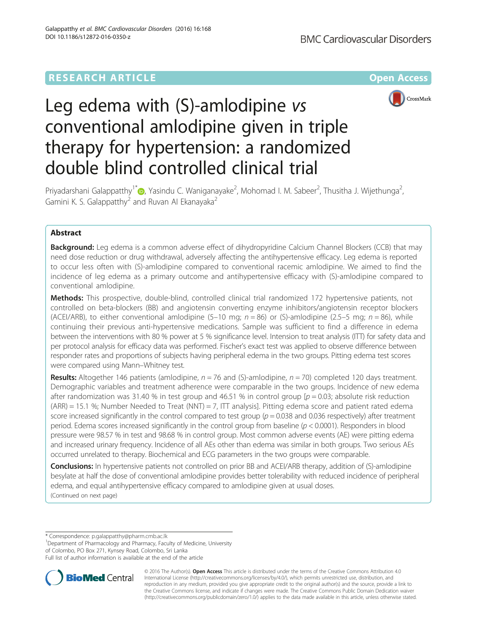# **RESEARCH ARTICLE Example 2014 12:30 The Company Access** (RESEARCH ARTICLE



# Leg edema with (S)-amlodipine vs conventional amlodipine given in triple therapy for hypertension: a randomized double blind controlled clinical trial

Priyadarshani Galappatthy<sup>1\*</sup> (@[,](http://orcid.org/0000-0002-9279-9053) Yasindu C. Waniganayake<sup>2</sup>, Mohomad I. M. Sabeer<sup>2</sup>, Thusitha J. Wijethunga<sup>2</sup> , Gamini K. S. Galappatthy<sup>2</sup> and Ruvan AI Ekanayaka<sup>2</sup>

# Abstract

**Background:** Leg edema is a common adverse effect of dihydropyridine Calcium Channel Blockers (CCB) that may need dose reduction or drug withdrawal, adversely affecting the antihypertensive efficacy. Leg edema is reported to occur less often with (S)-amlodipine compared to conventional racemic amlodipine. We aimed to find the incidence of leg edema as a primary outcome and antihypertensive efficacy with (S)-amlodipine compared to conventional amlodipine.

Methods: This prospective, double-blind, controlled clinical trial randomized 172 hypertensive patients, not controlled on beta-blockers (BB) and angiotensin converting enzyme inhibitors/angiotensin receptor blockers (ACEI/ARB), to either conventional amlodipine (5–10 mg;  $n = 86$ ) or (S)-amlodipine (2.5–5 mg;  $n = 86$ ), while continuing their previous anti-hypertensive medications. Sample was sufficient to find a difference in edema between the interventions with 80 % power at 5 % significance level. Intension to treat analysis (ITT) for safety data and per protocol analysis for efficacy data was performed. Fischer's exact test was applied to observe difference between responder rates and proportions of subjects having peripheral edema in the two groups. Pitting edema test scores were compared using Mann–Whitney test.

**Results:** Altogether 146 patients (amlodipine,  $n = 76$  and (S)-amlodipine,  $n = 70$ ) completed 120 days treatment. Demographic variables and treatment adherence were comparable in the two groups. Incidence of new edema after randomization was 31.40 % in test group and 46.51 % in control group  $[p = 0.03;$  absolute risk reduction  $(ARR) = 15.1$  %; Number Needed to Treat  $(NNT) = 7$ , ITT analysis]. Pitting edema score and patient rated edema score increased significantly in the control compared to test group  $(p = 0.038$  and 0.036 respectively) after treatment period. Edema scores increased significantly in the control group from baseline (p < 0.0001). Responders in blood pressure were 98.57 % in test and 98.68 % in control group. Most common adverse events (AE) were pitting edema and increased urinary frequency. Incidence of all AEs other than edema was similar in both groups. Two serious AEs occurred unrelated to therapy. Biochemical and ECG parameters in the two groups were comparable.

**Conclusions:** In hypertensive patients not controlled on prior BB and ACEI/ARB therapy, addition of (S)-amlodipine besylate at half the dose of conventional amlodipine provides better tolerability with reduced incidence of peripheral edema, and equal antihypertensive efficacy compared to amlodipine given at usual doses. (Continued on next page)

\* Correspondence: [p.galappatthy@pharm.cmb.ac.lk](mailto:p.galappatthy@pharm.cmb.ac.lk) <sup>1</sup>

<sup>1</sup>Department of Pharmacology and Pharmacy, Faculty of Medicine, University of Colombo, PO Box 271, Kynsey Road, Colombo, Sri Lanka

Full list of author information is available at the end of the article



© 2016 The Author(s). Open Access This article is distributed under the terms of the Creative Commons Attribution 4.0 International License [\(http://creativecommons.org/licenses/by/4.0/](http://creativecommons.org/licenses/by/4.0/)), which permits unrestricted use, distribution, and reproduction in any medium, provided you give appropriate credit to the original author(s) and the source, provide a link to the Creative Commons license, and indicate if changes were made. The Creative Commons Public Domain Dedication waiver [\(http://creativecommons.org/publicdomain/zero/1.0/](http://creativecommons.org/publicdomain/zero/1.0/)) applies to the data made available in this article, unless otherwise stated.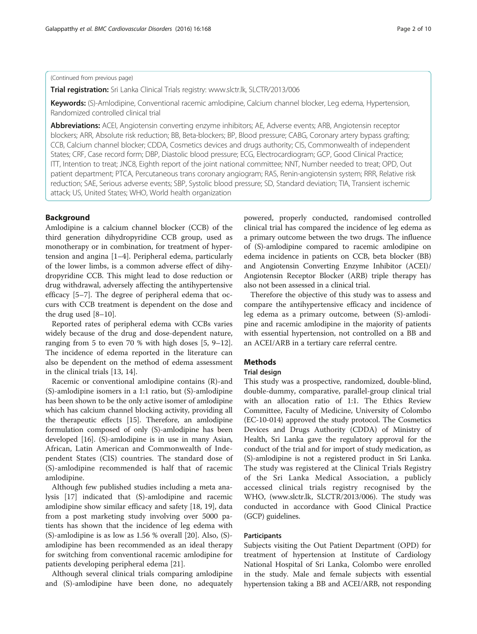## (Continued from previous page)

**Trial registration:** Sri Lanka Clinical Trials registry: www.slctr.lk, [SLCTR/2013/006](http://slctr.lk/trials/111)

Keywords: (S)-Amlodipine, Conventional racemic amlodipine, Calcium channel blocker, Leg edema, Hypertension, Randomized controlled clinical trial

Abbreviations: ACEI, Angiotensin converting enzyme inhibitors; AE, Adverse events; ARB, Angiotensin receptor blockers; ARR, Absolute risk reduction; BB, Beta-blockers; BP, Blood pressure; CABG, Coronary artery bypass grafting; CCB, Calcium channel blocker; CDDA, Cosmetics devices and drugs authority; CIS, Commonwealth of independent States; CRF, Case record form; DBP, Diastolic blood pressure; ECG, Electrocardiogram; GCP, Good Clinical Practice; ITT, Intention to treat; JNC8, Eighth report of the joint national committee; NNT, Number needed to treat; OPD, Out patient department; PTCA, Percutaneous trans coronary angiogram; RAS, Renin-angiotensin system; RRR, Relative risk reduction; SAE, Serious adverse events; SBP, Systolic blood pressure; SD, Standard deviation; TIA, Transient ischemic attack; US, United States; WHO, World health organization

# Background

Amlodipine is a calcium channel blocker (CCB) of the third generation dihydropyridine CCB group, used as monotherapy or in combination, for treatment of hypertension and angina [\[1](#page-9-0)–[4\]](#page-9-0). Peripheral edema, particularly of the lower limbs, is a common adverse effect of dihydropyridine CCB. This might lead to dose reduction or drug withdrawal, adversely affecting the antihypertensive efficacy [\[5](#page-9-0)–[7\]](#page-9-0). The degree of peripheral edema that occurs with CCB treatment is dependent on the dose and the drug used [\[8](#page-9-0)–[10\]](#page-9-0).

Reported rates of peripheral edema with CCBs varies widely because of the drug and dose-dependent nature, ranging from 5 to even 70 % with high doses [[5, 9](#page-9-0)–[12](#page-9-0)]. The incidence of edema reported in the literature can also be dependent on the method of edema assessment in the clinical trials [[13](#page-9-0), [14](#page-9-0)].

Racemic or conventional amlodipine contains (R)-and (S)-amlodipine isomers in a 1:1 ratio, but (S)-amlodipine has been shown to be the only active isomer of amlodipine which has calcium channel blocking activity, providing all the therapeutic effects [\[15](#page-9-0)]. Therefore, an amlodipine formulation composed of only (S)-amlodipine has been developed [\[16](#page-9-0)]. (S)-amlodipine is in use in many Asian, African, Latin American and Commonwealth of Independent States (CIS) countries. The standard dose of (S)-amlodipine recommended is half that of racemic amlodipine.

Although few published studies including a meta analysis [[17](#page-9-0)] indicated that (S)-amlodipine and racemic amlodipine show similar efficacy and safety [\[18](#page-9-0), [19](#page-9-0)], data from a post marketing study involving over 5000 patients has shown that the incidence of leg edema with (S)-amlodipine is as low as 1.56 % overall [[20](#page-9-0)]. Also, (S) amlodipine has been recommended as an ideal therapy for switching from conventional racemic amlodipine for patients developing peripheral edema [\[21\]](#page-9-0).

Although several clinical trials comparing amlodipine and (S)-amlodipine have been done, no adequately powered, properly conducted, randomised controlled clinical trial has compared the incidence of leg edema as a primary outcome between the two drugs. The influence of (S)-amlodipine compared to racemic amlodipine on edema incidence in patients on CCB, beta blocker (BB) and Angiotensin Converting Enzyme Inhibitor (ACEI)/ Angiotensin Receptor Blocker (ARB) triple therapy has also not been assessed in a clinical trial.

Therefore the objective of this study was to assess and compare the antihypertensive efficacy and incidence of leg edema as a primary outcome, between (S)-amlodipine and racemic amlodipine in the majority of patients with essential hypertension, not controlled on a BB and an ACEI/ARB in a tertiary care referral centre.

# Methods

# Trial design

This study was a prospective, randomized, double-blind, double-dummy, comparative, parallel-group clinical trial with an allocation ratio of 1:1. The Ethics Review Committee, Faculty of Medicine, University of Colombo (EC-10-014) approved the study protocol. The Cosmetics Devices and Drugs Authority (CDDA) of Ministry of Health, Sri Lanka gave the regulatory approval for the conduct of the trial and for import of study medication, as (S)-amlodipine is not a registered product in Sri Lanka. The study was registered at the Clinical Trials Registry of the Sri Lanka Medical Association, a publicly accessed clinical trials registry recognised by the WHO, ([www.slctr.lk,](http://www.slctr.lk) SLCTR/2013/006). The study was conducted in accordance with Good Clinical Practice (GCP) guidelines.

#### **Participants**

Subjects visiting the Out Patient Department (OPD) for treatment of hypertension at Institute of Cardiology National Hospital of Sri Lanka, Colombo were enrolled in the study. Male and female subjects with essential hypertension taking a BB and ACEI/ARB, not responding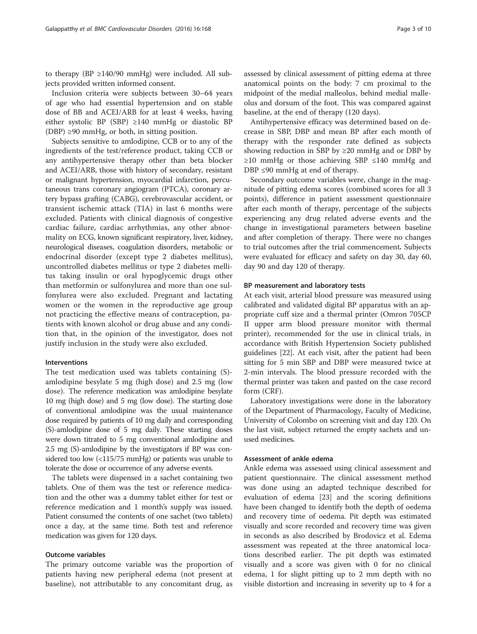to therapy (BP ≥140/90 mmHg) were included. All subjects provided written informed consent.

Inclusion criteria were subjects between 30–64 years of age who had essential hypertension and on stable dose of BB and ACEI/ARB for at least 4 weeks, having either systolic BP (SBP)  $\geq$ 140 mmHg or diastolic BP (DBP) ≥90 mmHg, or both, in sitting position.

Subjects sensitive to amlodipine, CCB or to any of the ingredients of the test/reference product, taking CCB or any antihypertensive therapy other than beta blocker and ACEI/ARB, those with history of secondary, resistant or malignant hypertension, myocardial infarction, percutaneous trans coronary angiogram (PTCA), coronary artery bypass grafting (CABG), cerebrovascular accident, or transient ischemic attack (TIA) in last 6 months were excluded. Patients with clinical diagnosis of congestive cardiac failure, cardiac arrhythmias, any other abnormality on ECG, known significant respiratory, liver, kidney, neurological diseases, coagulation disorders, metabolic or endocrinal disorder (except type 2 diabetes mellitus), uncontrolled diabetes mellitus or type 2 diabetes mellitus taking insulin or oral hypoglycemic drugs other than metformin or sulfonylurea and more than one sulfonylurea were also excluded. Pregnant and lactating women or the women in the reproductive age group not practicing the effective means of contraception, patients with known alcohol or drug abuse and any condition that, in the opinion of the investigator, does not justify inclusion in the study were also excluded.

# Interventions

The test medication used was tablets containing (S) amlodipine besylate 5 mg (high dose) and 2.5 mg (low dose). The reference medication was amlodipine besylate 10 mg (high dose) and 5 mg (low dose). The starting dose of conventional amlodipine was the usual maintenance dose required by patients of 10 mg daily and corresponding (S)-amlodipine dose of 5 mg daily. These starting doses were down titrated to 5 mg conventional amlodipine and 2.5 mg (S)-amlodipine by the investigators if BP was considered too low (<115/75 mmHg) or patients was unable to tolerate the dose or occurrence of any adverse events.

The tablets were dispensed in a sachet containing two tablets. One of them was the test or reference medication and the other was a dummy tablet either for test or reference medication and 1 month's supply was issued. Patient consumed the contents of one sachet (two tablets) once a day, at the same time. Both test and reference medication was given for 120 days.

#### Outcome variables

The primary outcome variable was the proportion of patients having new peripheral edema (not present at baseline), not attributable to any concomitant drug, as

assessed by clinical assessment of pitting edema at three anatomical points on the body: 7 cm proximal to the midpoint of the medial malleolus, behind medial malleolus and dorsum of the foot. This was compared against baseline, at the end of therapy (120 days).

Antihypertensive efficacy was determined based on decrease in SBP, DBP and mean BP after each month of therapy with the responder rate defined as subjects showing reduction in SBP by  $\geq 20$  mmHg and or DBP by ≥10 mmHg or those achieving SBP ≤140 mmHg and DBP ≤90 mmHg at end of therapy.

Secondary outcome variables were, change in the magnitude of pitting edema scores (combined scores for all 3 points), difference in patient assessment questionnaire after each month of therapy, percentage of the subjects experiencing any drug related adverse events and the change in investigational parameters between baseline and after completion of therapy. There were no changes to trial outcomes after the trial commencement. Subjects were evaluated for efficacy and safety on day 30, day 60, day 90 and day 120 of therapy.

#### BP measurement and laboratory tests

At each visit, arterial blood pressure was measured using calibrated and validated digital BP apparatus with an appropriate cuff size and a thermal printer (Omron 705CP II upper arm blood pressure monitor with thermal printer), recommended for the use in clinical trials, in accordance with British Hypertension Society published guidelines [[22](#page-9-0)]. At each visit, after the patient had been sitting for 5 min SBP and DBP were measured twice at 2-min intervals. The blood pressure recorded with the thermal printer was taken and pasted on the case record form (CRF).

Laboratory investigations were done in the laboratory of the Department of Pharmacology, Faculty of Medicine, University of Colombo on screening visit and day 120. On the last visit, subject returned the empty sachets and unused medicines.

# Assessment of ankle edema

Ankle edema was assessed using clinical assessment and patient questionnaire. The clinical assessment method was done using an adapted technique described for evaluation of edema [[23\]](#page-9-0) and the scoring definitions have been changed to identify both the depth of oedema and recovery time of oedema. Pit depth was estimated visually and score recorded and recovery time was given in seconds as also described by Brodovicz et al. Edema assessment was repeated at the three anatomical locations described earlier. The pit depth was estimated visually and a score was given with 0 for no clinical edema, 1 for slight pitting up to 2 mm depth with no visible distortion and increasing in severity up to 4 for a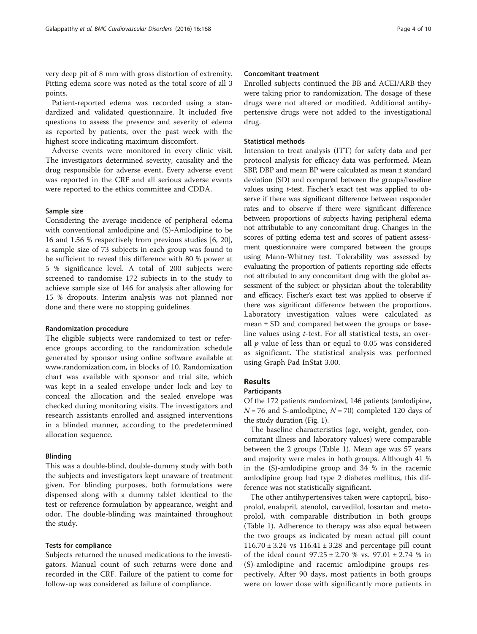very deep pit of 8 mm with gross distortion of extremity. Pitting edema score was noted as the total score of all 3 points.

Patient-reported edema was recorded using a standardized and validated questionnaire. It included five questions to assess the presence and severity of edema as reported by patients, over the past week with the highest score indicating maximum discomfort.

Adverse events were monitored in every clinic visit. The investigators determined severity, causality and the drug responsible for adverse event. Every adverse event was reported in the CRF and all serious adverse events were reported to the ethics committee and CDDA.

#### Sample size

Considering the average incidence of peripheral edema with conventional amlodipine and (S)-Amlodipine to be 16 and 1.56 % respectively from previous studies [\[6, 20](#page-9-0)], a sample size of 73 subjects in each group was found to be sufficient to reveal this difference with 80 % power at 5 % significance level. A total of 200 subjects were screened to randomise 172 subjects in to the study to achieve sample size of 146 for analysis after allowing for 15 % dropouts. Interim analysis was not planned nor done and there were no stopping guidelines.

#### Randomization procedure

The eligible subjects were randomized to test or reference groups according to the randomization schedule generated by sponsor using online software available at [www.randomization.com,](http://www.randomization.com) in blocks of 10. Randomization chart was available with sponsor and trial site, which was kept in a sealed envelope under lock and key to conceal the allocation and the sealed envelope was checked during monitoring visits. The investigators and research assistants enrolled and assigned interventions in a blinded manner, according to the predetermined allocation sequence.

#### Blinding

This was a double-blind, double-dummy study with both the subjects and investigators kept unaware of treatment given. For blinding purposes, both formulations were dispensed along with a dummy tablet identical to the test or reference formulation by appearance, weight and odor. The double-blinding was maintained throughout the study.

# Tests for compliance

Subjects returned the unused medications to the investigators. Manual count of such returns were done and recorded in the CRF. Failure of the patient to come for follow-up was considered as failure of compliance.

# Concomitant treatment

Enrolled subjects continued the BB and ACEI/ARB they were taking prior to randomization. The dosage of these drugs were not altered or modified. Additional antihypertensive drugs were not added to the investigational drug.

#### Statistical methods

Intension to treat analysis (ITT) for safety data and per protocol analysis for efficacy data was performed. Mean SBP, DBP and mean BP were calculated as mean ± standard deviation (SD) and compared between the groups/baseline values using t-test. Fischer's exact test was applied to observe if there was significant difference between responder rates and to observe if there were significant difference between proportions of subjects having peripheral edema not attributable to any concomitant drug. Changes in the scores of pitting edema test and scores of patient assessment questionnaire were compared between the groups using Mann-Whitney test. Tolerability was assessed by evaluating the proportion of patients reporting side effects not attributed to any concomitant drug with the global assessment of the subject or physician about the tolerability and efficacy. Fischer's exact test was applied to observe if there was significant difference between the proportions. Laboratory investigation values were calculated as mean ± SD and compared between the groups or baseline values using *t*-test. For all statistical tests, an overall  $p$  value of less than or equal to 0.05 was considered as significant. The statistical analysis was performed using Graph Pad InStat 3.00.

#### Results

#### **Participants**

Of the 172 patients randomized, 146 patients (amlodipine,  $N = 76$  and S-amlodipine,  $N = 70$ ) completed 120 days of the study duration (Fig. [1\)](#page-4-0).

The baseline characteristics (age, weight, gender, concomitant illness and laboratory values) were comparable between the 2 groups (Table [1\)](#page-5-0). Mean age was 57 years and majority were males in both groups. Although 41 % in the (S)-amlodipine group and 34 % in the racemic amlodipine group had type 2 diabetes mellitus, this difference was not statistically significant.

The other antihypertensives taken were captopril, bisoprolol, enalapril, atenolol, carvedilol, losartan and metoprolol, with comparable distribution in both groups (Table [1\)](#page-5-0). Adherence to therapy was also equal between the two groups as indicated by mean actual pill count  $116.70 \pm 3.24$  vs  $116.41 \pm 3.28$  and percentage pill count of the ideal count  $97.25 \pm 2.70$  % vs.  $97.01 \pm 2.74$  % in (S)-amlodipine and racemic amlodipine groups respectively. After 90 days, most patients in both groups were on lower dose with significantly more patients in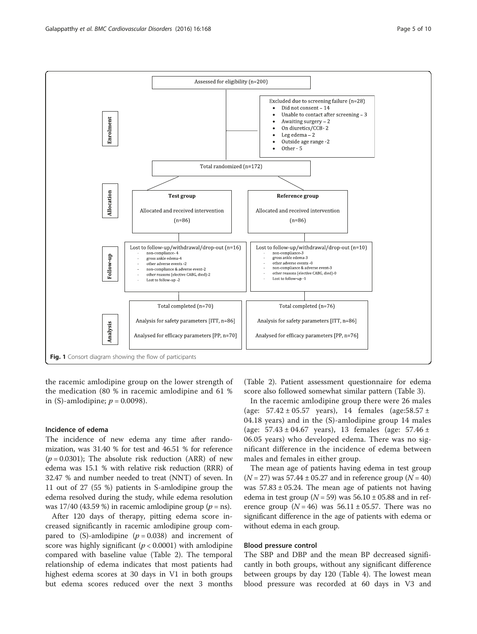<span id="page-4-0"></span>

the racemic amlodipine group on the lower strength of the medication (80 % in racemic amlodipine and 61 % in (S)-amlodipine;  $p = 0.0098$ ).

## Incidence of edema

The incidence of new edema any time after randomization, was 31.40 % for test and 46.51 % for reference  $(p = 0.0301)$ ; The absolute risk reduction (ARR) of new edema was 15.1 % with relative risk reduction (RRR) of 32.47 % and number needed to treat (NNT) of seven. In 11 out of 27 (55 %) patients in S-amlodipine group the edema resolved during the study, while edema resolution was 17/40 (43.59 %) in racemic amlodipine group ( $p =$ ns).

After 120 days of therapy, pitting edema score increased significantly in racemic amlodipine group compared to (S)-amlodipine ( $p = 0.038$ ) and increment of score was highly significant ( $p < 0.0001$ ) with amlodipine compared with baseline value (Table [2\)](#page-5-0). The temporal relationship of edema indicates that most patients had highest edema scores at 30 days in V1 in both groups but edema scores reduced over the next 3 months

(Table [2](#page-5-0)). Patient assessment questionnaire for edema score also followed somewhat similar pattern (Table [3\)](#page-6-0).

In the racemic amlodipine group there were 26 males (age:  $57.42 \pm 05.57$  years), 14 females (age:  $58.57 \pm 0.57$ 04.18 years) and in the (S)-amlodipine group 14 males (age:  $57.43 \pm 04.67$  years), 13 females (age:  $57.46 \pm 0.67$ 06.05 years) who developed edema. There was no significant difference in the incidence of edema between males and females in either group.

The mean age of patients having edema in test group  $(N = 27)$  was 57.44 ± 05.27 and in reference group  $(N = 40)$ was  $57.83 \pm 05.24$ . The mean age of patients not having edema in test group ( $N = 59$ ) was  $56.10 \pm 05.88$  and in reference group  $(N = 46)$  was  $56.11 \pm 05.57$ . There was no significant difference in the age of patients with edema or without edema in each group.

# Blood pressure control

The SBP and DBP and the mean BP decreased significantly in both groups, without any significant difference between groups by day 120 (Table [4\)](#page-6-0). The lowest mean blood pressure was recorded at 60 days in V3 and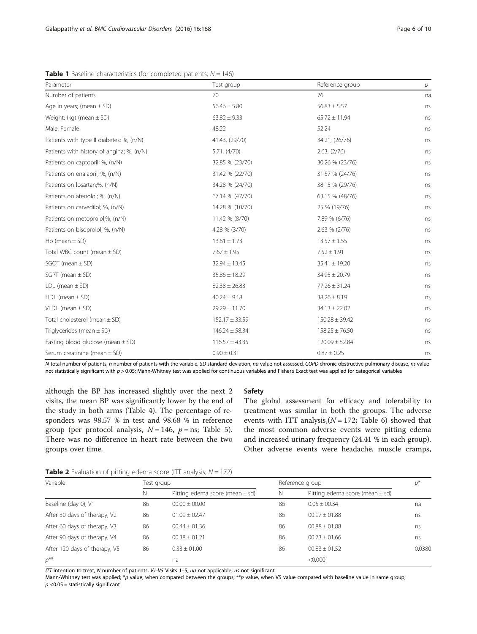| Parameter                                 | Test group         | Reference group    | р  |
|-------------------------------------------|--------------------|--------------------|----|
| Number of patients                        | 70                 | 76                 | na |
| Age in years; (mean $\pm$ SD)             | $56.46 \pm 5.80$   | $56.83 \pm 5.57$   | ns |
| Weight; (kg) (mean $\pm$ SD)              | $63.82 \pm 9.33$   | $65.72 \pm 11.94$  | ns |
| Male: Female                              | 48:22              | 52:24              | ns |
| Patients with type II diabetes; %, (n/N)  | 41.43, (29/70)     | 34.21, (26/76)     | ns |
| Patients with history of angina; %, (n/N) | 5.71, (4/70)       | 2.63, (2/76)       | ns |
| Patients on captopril; %, (n/N)           | 32.85 % (23/70)    | 30.26 % (23/76)    | ns |
| Patients on enalapril; %, (n/N)           | 31.42 % (22/70)    | 31.57 % (24/76)    | ns |
| Patients on losartan;%, (n/N)             | 34.28 % (24/70)    | 38.15 % (29/76)    | ns |
| Patients on atenolol; %, (n/N)            | 67.14 % (47/70)    | 63.15 % (48/76)    | ns |
| Patients on carvedilol; %, (n/N)          | 14.28 % (10/70)    | 25 % (19/76)       | ns |
| Patients on metoprolol;%, (n/N)           | 11.42 % (8/70)     | 7.89 % (6/76)      | ns |
| Patients on bisoprolol; %, (n/N)          | 4.28 % (3/70)      | 2.63 % (2/76)      | ns |
| Hb (mean $\pm$ SD)                        | $13.61 \pm 1.73$   | $13.57 \pm 1.55$   | ns |
| Total WBC count (mean $\pm$ SD)           | $7.67 \pm 1.95$    | $7.52 \pm 1.91$    | ns |
| $SGOT$ (mean $\pm$ SD)                    | $32.94 \pm 13.45$  | $35.41 \pm 19.20$  | ns |
| $SGPT$ (mean $\pm$ SD)                    | $35.86 \pm 18.29$  | $34.95 \pm 20.79$  | ns |
| LDL (mean $\pm$ SD)                       | $82.38 \pm 26.83$  | $77.26 \pm 31.24$  | ns |
| $HDL$ (mean $\pm$ SD)                     | $40.24 \pm 9.18$   | $38.26 \pm 8.19$   | ns |
| $VLDL$ (mean $\pm$ SD)                    | $29.29 \pm 11.70$  | $34.13 \pm 22.02$  | ns |
| Total cholesterol (mean $\pm$ SD)         | $152.17 \pm 33.59$ | $150.28 \pm 39.42$ | ns |
| Triglycerides (mean $\pm$ SD)             | $146.24 \pm 58.34$ | $158.25 \pm 76.50$ | ns |
| Fasting blood glucose (mean $\pm$ SD)     | $116.57 \pm 43.35$ | $120.09 \pm 52.84$ | ns |
| Serum creatinine (mean $\pm$ SD)          | $0.90 \pm 0.31$    | $0.87 \pm 0.25$    | ns |

<span id="page-5-0"></span>**Table 1** Baseline characteristics (for completed patients,  $N = 146$ )

N total number of patients, n number of patients with the variable, SD standard deviation, na value not assessed, COPD chronic obstructive pulmonary disease, ns value not statistically significant with p > 0.05; Mann-Whitney test was applied for continuous variables and Fisher's Exact test was applied for categorical variables

although the BP has increased slightly over the next 2 visits, the mean BP was significantly lower by the end of the study in both arms (Table [4\)](#page-6-0). The percentage of responders was 98.57 % in test and 98.68 % in reference group (per protocol analysis,  $N = 146$ ,  $p =$ ns; Table [5](#page-7-0)). There was no difference in heart rate between the two groups over time.

#### Safety

The global assessment for efficacy and tolerability to treatment was similar in both the groups. The adverse events with ITT analysis,  $(N = 172;$  Table [6\)](#page-7-0) showed that the most common adverse events were pitting edema and increased urinary frequency (24.41 % in each group). Other adverse events were headache, muscle cramps,

| Variable                      |    | Test group                          |    | Reference group                     |        |
|-------------------------------|----|-------------------------------------|----|-------------------------------------|--------|
|                               | N  | Pitting edema score (mean $\pm$ sd) | N  | Pitting edema score (mean $\pm$ sd) |        |
| Baseline (day 0), V1          | 86 | $00.00 \pm 00.00$                   | 86 | $0.05 + 00.34$                      | na     |
| After 30 days of therapy, V2  | 86 | $01.09 \pm 02.47$                   | 86 | $00.97 \pm 01.88$                   | ns     |
| After 60 days of therapy, V3  | 86 | $00.44 \pm 01.36$                   | 86 | $00.88 + 01.88$                     | ns     |
| After 90 days of therapy, V4  | 86 | $00.38 + 01.21$                     | 86 | $00.73 + 01.66$                     | ns     |
| After 120 days of therapy, V5 | 86 | $0.33 + 01.00$                      | 86 | $00.83 \pm 01.52$                   | 0.0380 |
| $p^{**}$                      |    | na                                  |    | < 0.0001                            |        |

ITT intention to treat, N number of patients, V1-V5 Visits 1-5, na not applicable, ns not significant

Mann-Whitney test was applied; \*p value, when compared between the groups; \*\*p value, when V5 value compared with baseline value in same group;  $p$  <0.05 = statistically significant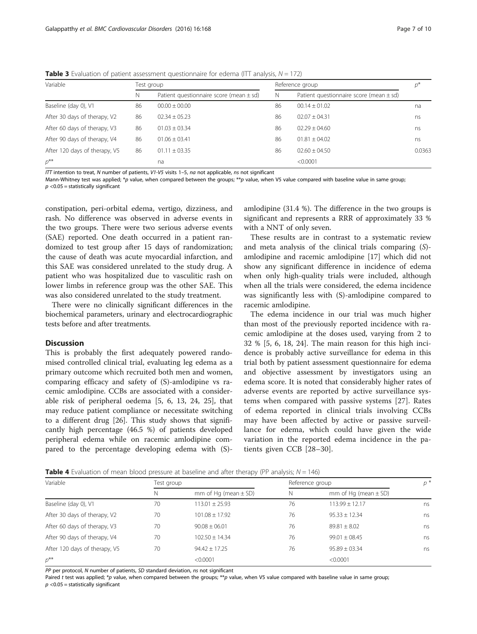| Variable<br>N                 |                                             | Test group        |                                             | Reference group   |        |
|-------------------------------|---------------------------------------------|-------------------|---------------------------------------------|-------------------|--------|
|                               | Patient questionnaire score (mean $\pm$ sd) | N                 | Patient questionnaire score (mean $\pm$ sd) |                   |        |
| Baseline (day 0), V1          | 86                                          | $00.00 \pm 00.00$ | 86                                          | $00.14 \pm 01.02$ | na     |
| After 30 days of therapy, V2  | 86                                          | $02.34 \pm 05.23$ | 86                                          | $02.07 \pm 04.31$ | ns     |
| After 60 days of therapy, V3  | 86                                          | $01.03 \pm 03.34$ | 86                                          | $02.29 + 04.60$   | ns     |
| After 90 days of therapy, V4  | 86                                          | $01.06 \pm 03.41$ | 86                                          | $01.81 \pm 04.02$ | ns     |
| After 120 days of therapy, V5 | 86                                          | $01.11 \pm 03.35$ | 86                                          | $02.60 + 04.50$   | 0.0363 |
| $p^{**}$                      |                                             | na                |                                             | < 0.0001          |        |

<span id="page-6-0"></span>**Table 3** Evaluation of patient assessment questionnaire for edema (ITT analysis,  $N = 172$ )

ITT intention to treat, N number of patients, V1-V5 visits 1-5, na not applicable, ns not significant

Mann-Whitney test was applied; \*p value, when compared between the groups; \*\*p value, when V5 value compared with baseline value in same group;  $p < 0.05$  = statistically significant

constipation, peri-orbital edema, vertigo, dizziness, and rash. No difference was observed in adverse events in the two groups. There were two serious adverse events (SAE) reported. One death occurred in a patient randomized to test group after 15 days of randomization; the cause of death was acute myocardial infarction, and this SAE was considered unrelated to the study drug. A patient who was hospitalized due to vasculitic rash on lower limbs in reference group was the other SAE. This was also considered unrelated to the study treatment.

There were no clinically significant differences in the biochemical parameters, urinary and electrocardiographic tests before and after treatments.

# Discussion

This is probably the first adequately powered randomised controlled clinical trial, evaluating leg edema as a primary outcome which recruited both men and women, comparing efficacy and safety of (S)-amlodipine vs racemic amlodipine. CCBs are associated with a considerable risk of peripheral oedema [[5, 6, 13, 24](#page-9-0), [25](#page-9-0)], that may reduce patient compliance or necessitate switching to a different drug [[26\]](#page-9-0). This study shows that significantly high percentage (46.5 %) of patients developed peripheral edema while on racemic amlodipine compared to the percentage developing edema with (S)-

amlodipine (31.4 %). The difference in the two groups is significant and represents a RRR of approximately 33 % with a NNT of only seven.

These results are in contrast to a systematic review and meta analysis of the clinical trials comparing (S) amlodipine and racemic amlodipine [\[17](#page-9-0)] which did not show any significant difference in incidence of edema when only high-quality trials were included, although when all the trials were considered, the edema incidence was significantly less with (S)-amlodipine compared to racemic amlodipine.

The edema incidence in our trial was much higher than most of the previously reported incidence with racemic amlodipine at the doses used, varying from 2 to 32 % [\[5](#page-9-0), [6](#page-9-0), [18, 24\]](#page-9-0). The main reason for this high incidence is probably active surveillance for edema in this trial both by patient assessment questionnaire for edema and objective assessment by investigators using an edema score. It is noted that considerably higher rates of adverse events are reported by active surveillance systems when compared with passive systems [[27\]](#page-9-0). Rates of edema reported in clinical trials involving CCBs may have been affected by active or passive surveillance for edema, which could have given the wide variation in the reported edema incidence in the patients given CCB [\[28](#page-9-0)–[30](#page-9-0)].

**Table 4** Evaluation of mean blood pressure at baseline and after therapy (PP analysis;  $N = 146$ )

| Variable                      |    | Test group               |    | Reference group          |    |
|-------------------------------|----|--------------------------|----|--------------------------|----|
|                               | N  | mm of Hg (mean $\pm$ SD) | N  | mm of Hg (mean $\pm$ SD) |    |
| Baseline (day 0), V1          | 70 | $113.01 \pm 25.93$       | 76 | $113.99 \pm 12.17$       | ns |
| After 30 days of therapy, V2  | 70 | $101.08 \pm 17.92$       | 76 | $95.33 + 12.34$          | ns |
| After 60 days of therapy, V3  | 70 | $90.08 \pm 06.01$        | 76 | $89.81 \pm 8.02$         | ns |
| After 90 days of therapy, V4  | 70 | $102.50 \pm 14.34$       | 76 | $99.01 \pm 08.45$        | ns |
| After 120 days of therapy, V5 | 70 | $94.42 \pm 17.25$        | 76 | $95.89 \pm 03.34$        | ns |
| $p^{**}$                      |    | < 0.0001                 |    | < 0.0001                 |    |

PP per protocol, N number of patients, SD standard deviation, ns not significant

Paired t test was applied; \*p value, when compared between the groups; \*\*p value, when V5 value compared with baseline value in same group;  $p$  <0.05 = statistically significant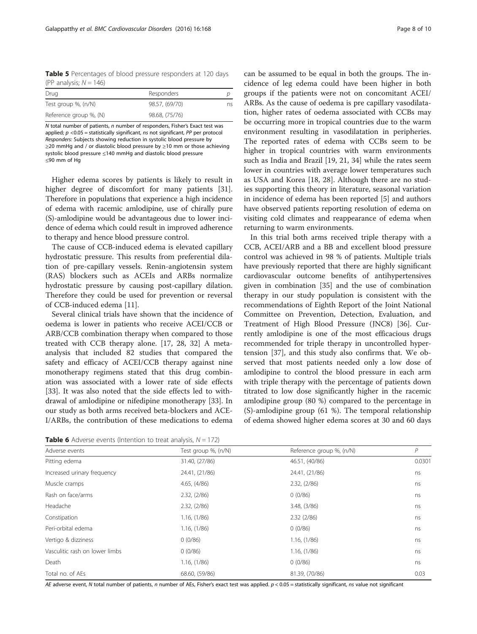<span id="page-7-0"></span>Table 5 Percentages of blood pressure responders at 120 days (PP analysis:  $N = 146$ )

| Drug                   | Responders     |    |
|------------------------|----------------|----|
| Test group %, (n/N)    | 98.57, (69/70) | ns |
| Reference group %, (N) | 98.68, (75/76) |    |

N total number of patients, n number of responders, Fisher's Exact test was applied;  $p < 0.05$  = statistically significant, ns not significant, PP per protocol Responders: Subjects showing reduction in systolic blood pressure by ≥20 mmHg and / or diastolic blood pressure by ≥10 mm or those achieving systolic blood pressure ≤140 mmHg and diastolic blood pressure ≤90 mm of Hg

Higher edema scores by patients is likely to result in higher degree of discomfort for many patients [\[31](#page-9-0)]. Therefore in populations that experience a high incidence of edema with racemic amlodipine, use of chirally pure (S)-amlodipine would be advantageous due to lower incidence of edema which could result in improved adherence to therapy and hence blood pressure control.

The cause of CCB-induced edema is elevated capillary hydrostatic pressure. This results from preferential dilation of pre-capillary vessels. Renin-angiotensin system (RAS) blockers such as ACEIs and ARBs normalize hydrostatic pressure by causing post-capillary dilation. Therefore they could be used for prevention or reversal of CCB-induced edema [[11](#page-9-0)].

Several clinical trials have shown that the incidence of oedema is lower in patients who receive ACEI/CCB or ARB/CCB combination therapy when compared to those treated with CCB therapy alone. [[17, 28](#page-9-0), [32](#page-9-0)] A metaanalysis that included 82 studies that compared the safety and efficacy of ACEI/CCB therapy against nine monotherapy regimens stated that this drug combination was associated with a lower rate of side effects [[33\]](#page-9-0). It was also noted that the side effects led to withdrawal of amlodipine or nifedipine monotherapy [[33](#page-9-0)]. In our study as both arms received beta-blockers and ACE-I/ARBs, the contribution of these medications to edema

| <b>Table 6</b> Adverse events (Intention to treat analysis, $N = 172$ ) |  |  |  |  |
|-------------------------------------------------------------------------|--|--|--|--|
|-------------------------------------------------------------------------|--|--|--|--|

can be assumed to be equal in both the groups. The incidence of leg edema could have been higher in both groups if the patients were not on concomitant ACEI/ ARBs. As the cause of oedema is pre capillary vasodilatation, higher rates of oedema associated with CCBs may be occurring more in tropical countries due to the warm environment resulting in vasodilatation in peripheries. The reported rates of edema with CCBs seem to be higher in tropical countries with warm environments such as India and Brazil [\[19, 21, 34\]](#page-9-0) while the rates seem lower in countries with average lower temperatures such as USA and Korea [[18, 28\]](#page-9-0). Although there are no studies supporting this theory in literature, seasonal variation in incidence of edema has been reported [[5](#page-9-0)] and authors have observed patients reporting resolution of edema on visiting cold climates and reappearance of edema when returning to warm environments.

In this trial both arms received triple therapy with a CCB, ACEI/ARB and a BB and excellent blood pressure control was achieved in 98 % of patients. Multiple trials have previously reported that there are highly significant cardiovascular outcome benefits of antihypertensives given in combination [\[35](#page-9-0)] and the use of combination therapy in our study population is consistent with the recommendations of Eighth Report of the Joint National Committee on Prevention, Detection, Evaluation, and Treatment of High Blood Pressure (JNC8) [\[36\]](#page-9-0). Currently amlodipine is one of the most efficacious drugs recommended for triple therapy in uncontrolled hypertension [[37\]](#page-9-0), and this study also confirms that. We observed that most patients needed only a low dose of amlodipine to control the blood pressure in each arm with triple therapy with the percentage of patients down titrated to low dose significantly higher in the racemic amlodipine group (80 %) compared to the percentage in (S)-amlodipine group (61 %). The temporal relationship of edema showed higher edema scores at 30 and 60 days

| Test group %, (n/N) | Reference group %, (n/N) |        |
|---------------------|--------------------------|--------|
| 31.40, (27/86)      | 46.51, (40/86)           | 0.0301 |
| 24.41, (21/86)      | 24.41, (21/86)           | ns     |
| 4.65, (4/86)        | 2.32, (2/86)             | ns     |
| 2.32, (2/86)        | 0(0/86)                  | ns     |
| 2.32, (2/86)        | 3.48, (3/86)             | ns     |
| 1.16, (1/86)        | 2.32(2/86)               | ns     |
| 1.16, (1/86)        | 0(0/86)                  | ns     |
| 0(0/86)             | 1.16, (1/86)             | ns     |
| 0(0/86)             | 1.16, (1/86)             | ns     |
| 1.16, (1/86)        | 0(0/86)                  | ns     |
| 68.60, (59/86)      | 81.39, (70/86)           | 0.03   |
|                     |                          |        |

AE adverse event, N total number of patients, n number of AEs, Fisher's exact test was applied.  $p < 0.05$  = statistically significant, ns value not significant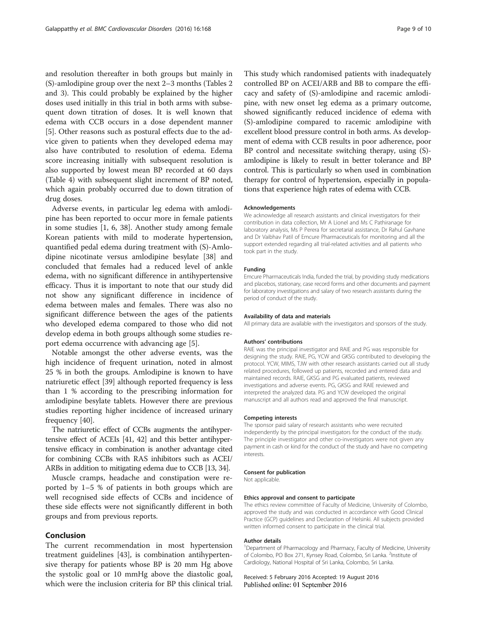and resolution thereafter in both groups but mainly in (S)-amlodipine group over the next 2–3 months (Tables [2](#page-5-0) and [3\)](#page-6-0). This could probably be explained by the higher doses used initially in this trial in both arms with subsequent down titration of doses. It is well known that edema with CCB occurs in a dose dependent manner [[5\]](#page-9-0). Other reasons such as postural effects due to the advice given to patients when they developed edema may also have contributed to resolution of edema. Edema score increasing initially with subsequent resolution is also supported by lowest mean BP recorded at 60 days (Table [4](#page-6-0)) with subsequent slight increment of BP noted, which again probably occurred due to down titration of drug doses.

Adverse events, in particular leg edema with amlodipine has been reported to occur more in female patients in some studies [[1, 6](#page-9-0), [38\]](#page-9-0). Another study among female Korean patients with mild to moderate hypertension, quantified pedal edema during treatment with (S)-Amlodipine nicotinate versus amlodipine besylate [[38\]](#page-9-0) and concluded that females had a reduced level of ankle edema, with no significant difference in antihypertensive efficacy. Thus it is important to note that our study did not show any significant difference in incidence of edema between males and females. There was also no significant difference between the ages of the patients who developed edema compared to those who did not develop edema in both groups although some studies report edema occurrence with advancing age [[5\]](#page-9-0).

Notable amongst the other adverse events, was the high incidence of frequent urination, noted in almost 25 % in both the groups. Amlodipine is known to have natriuretic effect [[39\]](#page-9-0) although reported frequency is less than 1 % according to the prescribing information for amlodipine besylate tablets. However there are previous studies reporting higher incidence of increased urinary frequency [[40\]](#page-9-0).

The natriuretic effect of CCBs augments the antihypertensive effect of ACEIs [[41](#page-9-0), [42\]](#page-9-0) and this better antihypertensive efficacy in combination is another advantage cited for combining CCBs with RAS inhibitors such as ACEI/ ARBs in addition to mitigating edema due to CCB [\[13](#page-9-0), [34\]](#page-9-0).

Muscle cramps, headache and constipation were reported by 1–5 % of patients in both groups which are well recognised side effects of CCBs and incidence of these side effects were not significantly different in both groups and from previous reports.

#### Conclusion

The current recommendation in most hypertension treatment guidelines [\[43](#page-9-0)], is combination antihypertensive therapy for patients whose BP is 20 mm Hg above the systolic goal or 10 mmHg above the diastolic goal, which were the inclusion criteria for BP this clinical trial. This study which randomised patients with inadequately controlled BP on ACEI/ARB and BB to compare the efficacy and safety of (S)-amlodipine and racemic amlodipine, with new onset leg edema as a primary outcome, showed significantly reduced incidence of edema with (S)-amlodipine compared to racemic amlodipine with excellent blood pressure control in both arms. As development of edema with CCB results in poor adherence, poor BP control and necessitate switching therapy, using (S) amlodipine is likely to result in better tolerance and BP control. This is particularly so when used in combination therapy for control of hypertension, especially in populations that experience high rates of edema with CCB.

#### Acknowledgements

We acknowledge all research assistants and clinical investigators for their contribution in data collection, Mr A Lionel and Ms C Pathiranage for laboratory analysis, Ms P Perera for secretarial assistance, Dr Rahul Gavhane and Dr Vaibhav Patil of Emcure Pharmaceuticals for monitoring and all the support extended regarding all trial-related activities and all patients who took part in the study.

#### Funding

Emcure Pharmaceuticals India, funded the trial, by providing study medications and placebos, stationary, case record forms and other documents and payment for laboratory investigations and salary of two research assistants during the period of conduct of the study.

#### Availability of data and materials

All primary data are available with the investigators and sponsors of the study.

#### Authors' contributions

RAIE was the principal investigator and RAIE and PG was responsible for designing the study. RAIE, PG, YCW and GKSG contributed to developing the protocol. YCW, MIMS, TJW with other research assistants carried out all study related procedures, followed up patients, recorded and entered data and maintained records. RAIE, GKSG and PG evaluated patients, reviewed investigations and adverse events. PG, GKSG and RAIE reviewed and interpreted the analyzed data. PG and YCW developed the original manuscript and all authors read and approved the final manuscript.

#### Competing interests

The sponsor paid salary of research assistants who were recruited independently by the principal investigators for the conduct of the study. The principle investigator and other co-investigators were not given any payment in cash or kind for the conduct of the study and have no competing interests.

#### Consent for publication

Not applicable.

#### Ethics approval and consent to participate

The ethics review committee of Faculty of Medicine, University of Colombo, approved the study and was conducted in accordance with Good Clinical Practice (GCP) guidelines and Declaration of Helsinki. All subjects provided written informed consent to participate in the clinical trial.

#### Author details

<sup>1</sup>Department of Pharmacology and Pharmacy, Faculty of Medicine, University of Colombo, PO Box 271, Kynsey Road, Colombo, Sri Lanka. <sup>2</sup>Institute of Cardiology, National Hospital of Sri Lanka, Colombo, Sri Lanka.

Received: 5 February 2016 Accepted: 19 August 2016 Published online: 01 September 2016